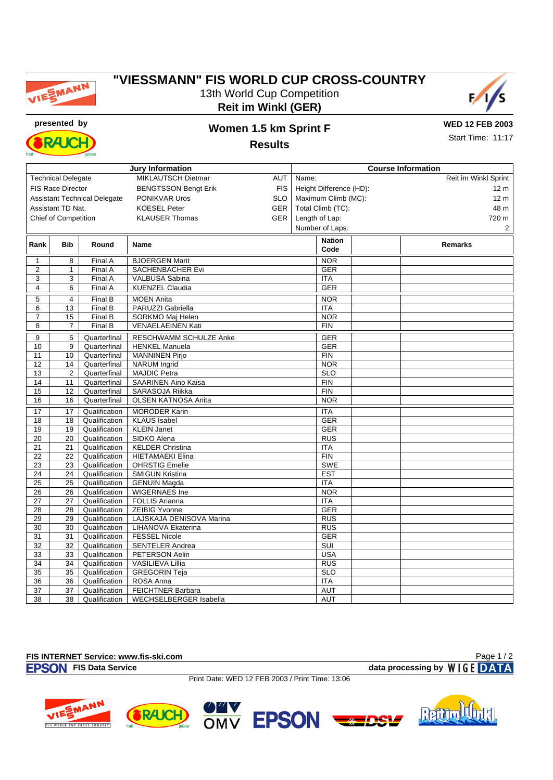

## **"VIESSMANN" FIS WORLD CUP CROSS-COUNTRY** 13th World Cup Competition **Reit im Winkl (GER)**



**RAICH** 

## **presented by Women 1.5 km Sprint F**

**WED 12 FEB 2003** Start Time: 11:17

**Results**

| <b>Jury Information</b>             |                 |                                |                                          |            | <b>Course Information</b>                  |                |  |
|-------------------------------------|-----------------|--------------------------------|------------------------------------------|------------|--------------------------------------------|----------------|--|
| <b>Technical Delegate</b>           |                 |                                | <b>MIKLAUTSCH Dietmar</b>                | <b>AUT</b> | Name:<br>Reit im Winkl Sprint              |                |  |
| <b>FIS Race Director</b>            |                 |                                | <b>BENGTSSON Bengt Erik</b>              | <b>FIS</b> | Height Difference (HD):<br>12 <sub>m</sub> |                |  |
| <b>Assistant Technical Delegate</b> |                 |                                | <b>PONIKVAR Uros</b>                     | <b>SLO</b> | Maximum Climb (MC):<br>12 <sub>m</sub>     |                |  |
| Assistant TD Nat.                   |                 |                                | <b>KOESEL Peter</b>                      | GER        | Total Climb (TC):<br>48 m                  |                |  |
| <b>Chief of Competition</b>         |                 |                                | <b>KLAUSER Thomas</b>                    | GER        | Length of Lap:<br>720 m                    |                |  |
|                                     |                 |                                |                                          |            | Number of Laps:                            | $\overline{a}$ |  |
|                                     |                 |                                |                                          |            |                                            |                |  |
| Rank                                | <b>Bib</b>      | Round                          | <b>Name</b>                              |            | <b>Nation</b><br>Code                      | <b>Remarks</b> |  |
| $\mathbf{1}$                        | 8               | Final A                        | <b>BJOERGEN Marit</b>                    |            | <b>NOR</b>                                 |                |  |
| $\overline{2}$                      | $\mathbf{1}$    | Final A                        | <b>SACHENBACHER Evi</b>                  |            | <b>GER</b>                                 |                |  |
| 3                                   | 3               | Final A                        | VALBUSA Sabina                           |            | <b>ITA</b>                                 |                |  |
| $\overline{4}$                      | 6               | Final A                        | <b>KUENZEL Claudia</b>                   |            | <b>GER</b>                                 |                |  |
| 5                                   | $\overline{4}$  | Final B                        | <b>MOEN Anita</b>                        |            | <b>NOR</b>                                 |                |  |
| 6                                   | $\overline{13}$ | Final B                        | PARUZZI Gabriella                        |            | <b>ITA</b>                                 |                |  |
| $\overline{7}$                      | 15              | Final B                        | SORKMO Maj Helen                         |            | <b>NOR</b>                                 |                |  |
| 8                                   | 7               | Final B                        | <b>VENAELAEINEN Kati</b>                 |            | <b>FIN</b>                                 |                |  |
| 9                                   | 5               | Quarterfinal                   | <b>RESCHWAMM SCHULZE Anke</b>            |            | <b>GER</b>                                 |                |  |
| 10                                  | 9               | Quarterfinal                   | <b>HENKEL Manuela</b>                    |            | <b>GER</b>                                 |                |  |
| 11                                  | 10              | Quarterfinal                   | <b>MANNINEN Pirjo</b>                    |            | <b>FIN</b>                                 |                |  |
| 12                                  | 14              | Quarterfinal                   | <b>NARUM</b> Ingrid                      |            | <b>NOR</b>                                 |                |  |
| 13                                  | $\overline{2}$  | Quarterfinal                   | <b>MAJDIC Petra</b>                      |            | SLO                                        |                |  |
| 14                                  | 11              | Quarterfinal                   | <b>SAARINEN Aino Kaisa</b>               |            | <b>FIN</b>                                 |                |  |
| 15                                  | 12              | Quarterfinal                   | SARASOJA Riikka                          |            | FIN                                        |                |  |
| 16                                  | 16              | Quarterfinal                   | <b>OLSEN KATNOSA Anita</b>               |            | <b>NOR</b>                                 |                |  |
| 17                                  | 17              | Qualification                  | <b>MORODER Karin</b>                     |            | <b>ITA</b>                                 |                |  |
| 18                                  | 18              | Qualification                  | <b>KLAUS</b> Isabel                      |            | <b>GER</b>                                 |                |  |
| $\overline{19}$                     | 19              | Qualification                  | <b>KLEIN Janet</b>                       |            | <b>GER</b>                                 |                |  |
| 20                                  | 20              | Qualification                  | SIDKO Alena                              |            | <b>RUS</b>                                 |                |  |
| $\overline{21}$                     | $\overline{21}$ | Qualification                  | <b>KELDER Christina</b>                  |            | <b>ITA</b>                                 |                |  |
| 22                                  | 22              | Qualification                  | <b>HIETAMAEKI Elina</b>                  |            | <b>FIN</b>                                 |                |  |
| 23                                  | 23              | Qualification                  | <b>OHRSTIG Emelie</b>                    |            | <b>SWE</b>                                 |                |  |
| 24                                  | 24              | Qualification                  | <b>SMIGUN Kristina</b>                   |            | <b>EST</b>                                 |                |  |
| $\overline{25}$                     | 25              | Qualification                  | <b>GENUIN Magda</b>                      |            | <b>ITA</b>                                 |                |  |
| 26                                  | 26              | Qualification                  | WIGERNAES Ine                            |            | <b>NOR</b>                                 |                |  |
| $\overline{27}$                     | $\overline{27}$ | Qualification                  | <b>FOLLIS Arianna</b>                    |            | <b>ITA</b>                                 |                |  |
| 28                                  | 28              | Qualification                  | <b>ZEIBIG Yvonne</b>                     |            | <b>GER</b>                                 |                |  |
| 29                                  | 29              | Qualification                  | LAJSKAJA DENISOVA Marina                 |            | RUS                                        |                |  |
| 30                                  | 30              | Qualification                  | LIHANOVA Ekaterina                       |            | <b>RUS</b>                                 |                |  |
| 31                                  | 31              | Qualification                  | <b>FESSEL Nicole</b>                     |            | <b>GER</b>                                 |                |  |
| $\overline{32}$                     | $\overline{32}$ | Qualification<br>Qualification | <b>SENTELER Andrea</b>                   |            | SUI                                        |                |  |
| 33<br>34                            | 33<br>34        |                                | PETERSON Aelin                           |            | <b>USA</b><br><b>RUS</b>                   |                |  |
| $\overline{35}$                     | 35              | Qualification<br>Qualification | VASILIEVA Lillia<br><b>GREGORIN Teja</b> |            | SLO                                        |                |  |
| 36                                  | 36              | Qualification                  | ROSA Anna                                |            | <b>ITA</b>                                 |                |  |
| $\overline{37}$                     | $\overline{37}$ | Qualification                  | <b>FEICHTNER Barbara</b>                 |            | AUT                                        |                |  |
| 38                                  | 38              | Qualification                  | WECHSELBERGER Isabella                   |            | <b>AUT</b>                                 |                |  |
|                                     |                 |                                |                                          |            |                                            |                |  |

## **FIS INTERNET Service: www.fis-ski.com**

**FISON** FIS Data Service **data processing by** WIGE DATA

Page 1 / 2

Print Date: WED 12 FEB 2003 / Print Time: 13:06

 $\overline{OMV}$